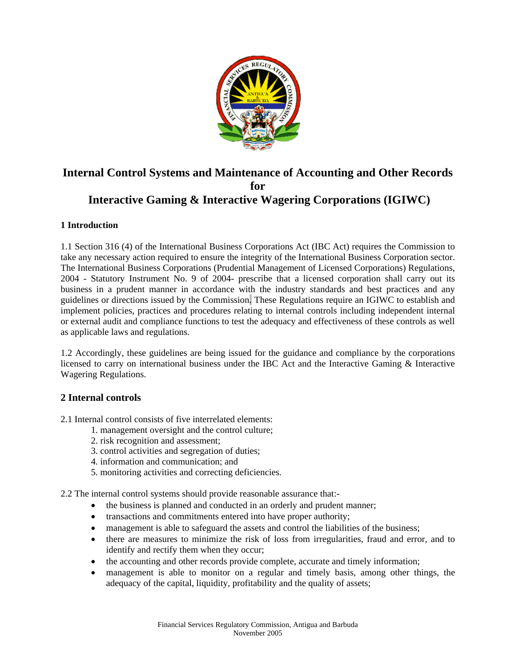

# **Internal Control Systems and Maintenance of Accounting and Other Records for Interactive Gaming & Interactive Wagering Corporations (IGIWC)**

# **1 Introduction**

1.1 Section 316 (4) of the International Business Corporations Act (IBC Act) requires the Commission to take any necessary action required to ensure the integrity of the International Business Corporation sector. The International Business Corporations (Prudential Management of Licensed Corporations) Regulations, 2004 - Statutory Instrument No. 9 of 2004- prescribe that a licensed corporation shall carry out its business in a prudent manner in accordance with the industry standards and best practices and any guidelines or directions issued by the Commission. These Regulations require an IGIWC to establish and implement policies, practices and procedures relating to internal controls including independent internal or external audit and compliance functions to test the adequacy and effectiveness of these controls as well as applicable laws and regulations.

1.2 Accordingly, these guidelines are being issued for the guidance and compliance by the corporations licensed to carry on international business under the IBC Act and the Interactive Gaming & Interactive Wagering Regulations.

# **2 Internal controls**

2.1 Internal control consists of five interrelated elements:

- 1. management oversight and the control culture;
- 2. risk recognition and assessment;
- 3. control activities and segregation of duties;
- 4. information and communication; and
- 5. monitoring activities and correcting deficiencies.

2.2 The internal control systems should provide reasonable assurance that:-

- the business is planned and conducted in an orderly and prudent manner;
- transactions and commitments entered into have proper authority;
- management is able to safeguard the assets and control the liabilities of the business;
- there are measures to minimize the risk of loss from irregularities, fraud and error, and to identify and rectify them when they occur;
- the accounting and other records provide complete, accurate and timely information;
- management is able to monitor on a regular and timely basis, among other things, the adequacy of the capital, liquidity, profitability and the quality of assets;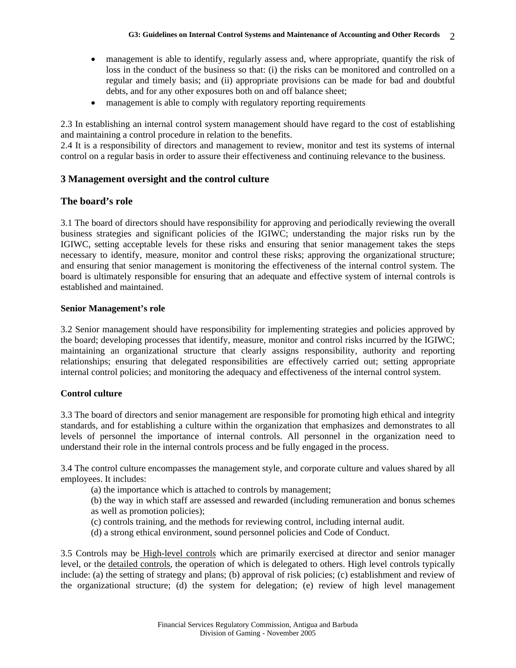- management is able to identify, regularly assess and, where appropriate, quantify the risk of loss in the conduct of the business so that: (i) the risks can be monitored and controlled on a regular and timely basis; and (ii) appropriate provisions can be made for bad and doubtful debts, and for any other exposures both on and off balance sheet;
- management is able to comply with regulatory reporting requirements

2.3 In establishing an internal control system management should have regard to the cost of establishing and maintaining a control procedure in relation to the benefits.

2.4 It is a responsibility of directors and management to review, monitor and test its systems of internal control on a regular basis in order to assure their effectiveness and continuing relevance to the business.

# **3 Management oversight and the control culture**

# **The board's role**

3.1 The board of directors should have responsibility for approving and periodically reviewing the overall business strategies and significant policies of the IGIWC; understanding the major risks run by the IGIWC, setting acceptable levels for these risks and ensuring that senior management takes the steps necessary to identify, measure, monitor and control these risks; approving the organizational structure; and ensuring that senior management is monitoring the effectiveness of the internal control system. The board is ultimately responsible for ensuring that an adequate and effective system of internal controls is established and maintained.

#### **Senior Management's role**

3.2 Senior management should have responsibility for implementing strategies and policies approved by the board; developing processes that identify, measure, monitor and control risks incurred by the IGIWC; maintaining an organizational structure that clearly assigns responsibility, authority and reporting relationships; ensuring that delegated responsibilities are effectively carried out; setting appropriate internal control policies; and monitoring the adequacy and effectiveness of the internal control system.

## **Control culture**

3.3 The board of directors and senior management are responsible for promoting high ethical and integrity standards, and for establishing a culture within the organization that emphasizes and demonstrates to all levels of personnel the importance of internal controls. All personnel in the organization need to understand their role in the internal controls process and be fully engaged in the process.

3.4 The control culture encompasses the management style, and corporate culture and values shared by all employees. It includes:

- (a) the importance which is attached to controls by management;
- (b) the way in which staff are assessed and rewarded (including remuneration and bonus schemes as well as promotion policies);
- (c) controls training, and the methods for reviewing control, including internal audit.
- (d) a strong ethical environment, sound personnel policies and Code of Conduct.

3.5 Controls may be High-level controls which are primarily exercised at director and senior manager level, or the detailed controls, the operation of which is delegated to others. High level controls typically include: (a) the setting of strategy and plans; (b) approval of risk policies; (c) establishment and review of the organizational structure; (d) the system for delegation; (e) review of high level management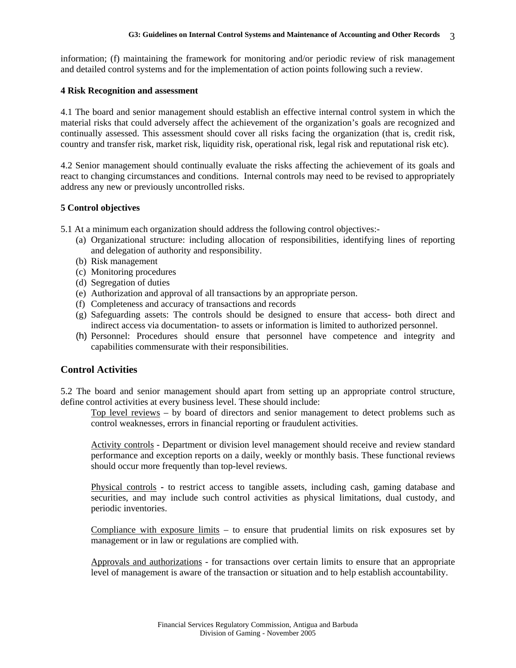information; (f) maintaining the framework for monitoring and/or periodic review of risk management and detailed control systems and for the implementation of action points following such a review.

#### **4 Risk Recognition and assessment**

4.1 The board and senior management should establish an effective internal control system in which the material risks that could adversely affect the achievement of the organization's goals are recognized and continually assessed. This assessment should cover all risks facing the organization (that is, credit risk, country and transfer risk, market risk, liquidity risk, operational risk, legal risk and reputational risk etc).

4.2 Senior management should continually evaluate the risks affecting the achievement of its goals and react to changing circumstances and conditions. Internal controls may need to be revised to appropriately address any new or previously uncontrolled risks.

## **5 Control objectives**

5.1 At a minimum each organization should address the following control objectives:-

- (a) Organizational structure: including allocation of responsibilities, identifying lines of reporting and delegation of authority and responsibility.
- (b) Risk management
- (c) Monitoring procedures
- (d) Segregation of duties
- (e) Authorization and approval of all transactions by an appropriate person.
- (f) Completeness and accuracy of transactions and records
- (g) Safeguarding assets: The controls should be designed to ensure that access- both direct and indirect access via documentation- to assets or information is limited to authorized personnel.
- (h) Personnel: Procedures should ensure that personnel have competence and integrity and capabilities commensurate with their responsibilities.

## **Control Activities**

5.2 The board and senior management should apart from setting up an appropriate control structure, define control activities at every business level. These should include:

Top level reviews – by board of directors and senior management to detect problems such as control weaknesses, errors in financial reporting or fraudulent activities.

Activity controls - Department or division level management should receive and review standard performance and exception reports on a daily, weekly or monthly basis. These functional reviews should occur more frequently than top-level reviews.

Physical controls **-** to restrict access to tangible assets, including cash, gaming database and securities, and may include such control activities as physical limitations, dual custody, and periodic inventories.

Compliance with exposure limits – to ensure that prudential limits on risk exposures set by management or in law or regulations are complied with.

Approvals and authorizations - for transactions over certain limits to ensure that an appropriate level of management is aware of the transaction or situation and to help establish accountability.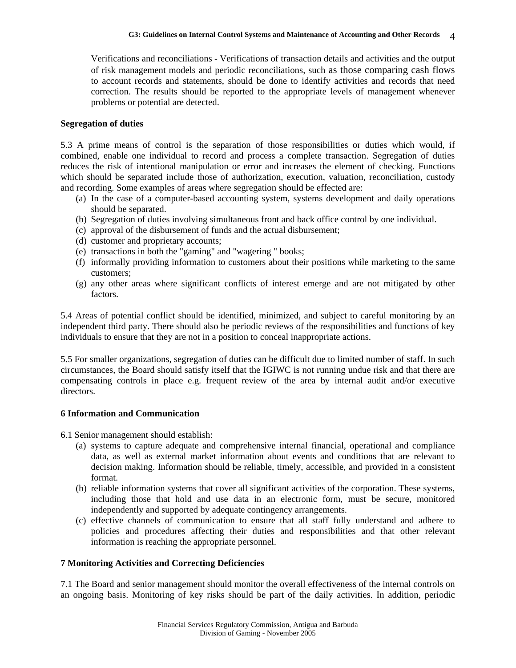Verifications and reconciliations - Verifications of transaction details and activities and the output of risk management models and periodic reconciliations, such as those comparing cash flows to account records and statements, should be done to identify activities and records that need correction. The results should be reported to the appropriate levels of management whenever problems or potential are detected.

#### **Segregation of duties**

5.3 A prime means of control is the separation of those responsibilities or duties which would, if combined, enable one individual to record and process a complete transaction. Segregation of duties reduces the risk of intentional manipulation or error and increases the element of checking. Functions which should be separated include those of authorization, execution, valuation, reconciliation, custody and recording. Some examples of areas where segregation should be effected are:

- (a) In the case of a computer-based accounting system, systems development and daily operations should be separated.
- (b) Segregation of duties involving simultaneous front and back office control by one individual.
- (c) approval of the disbursement of funds and the actual disbursement;
- (d) customer and proprietary accounts;
- (e) transactions in both the "gaming" and "wagering " books;
- (f) informally providing information to customers about their positions while marketing to the same customers;
- (g) any other areas where significant conflicts of interest emerge and are not mitigated by other factors.

5.4 Areas of potential conflict should be identified, minimized, and subject to careful monitoring by an independent third party. There should also be periodic reviews of the responsibilities and functions of key individuals to ensure that they are not in a position to conceal inappropriate actions.

5.5 For smaller organizations, segregation of duties can be difficult due to limited number of staff. In such circumstances, the Board should satisfy itself that the IGIWC is not running undue risk and that there are compensating controls in place e.g. frequent review of the area by internal audit and/or executive directors.

## **6 Information and Communication**

6.1 Senior management should establish:

- (a) systems to capture adequate and comprehensive internal financial, operational and compliance data, as well as external market information about events and conditions that are relevant to decision making. Information should be reliable, timely, accessible, and provided in a consistent format.
- (b) reliable information systems that cover all significant activities of the corporation. These systems, including those that hold and use data in an electronic form, must be secure, monitored independently and supported by adequate contingency arrangements.
- (c) effective channels of communication to ensure that all staff fully understand and adhere to policies and procedures affecting their duties and responsibilities and that other relevant information is reaching the appropriate personnel.

## **7 Monitoring Activities and Correcting Deficiencies**

7.1 The Board and senior management should monitor the overall effectiveness of the internal controls on an ongoing basis. Monitoring of key risks should be part of the daily activities. In addition, periodic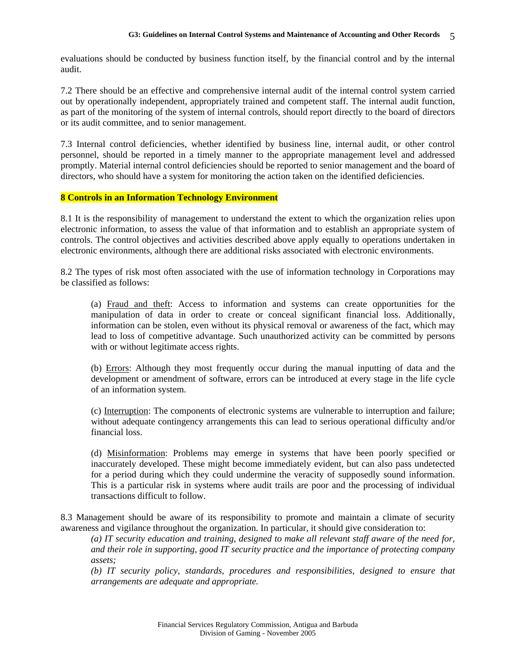evaluations should be conducted by business function itself, by the financial control and by the internal audit.

7.2 There should be an effective and comprehensive internal audit of the internal control system carried out by operationally independent, appropriately trained and competent staff. The internal audit function, as part of the monitoring of the system of internal controls, should report directly to the board of directors or its audit committee, and to senior management.

7.3 Internal control deficiencies, whether identified by business line, internal audit, or other control personnel, should be reported in a timely manner to the appropriate management level and addressed promptly. Material internal control deficiencies should be reported to senior management and the board of directors, who should have a system for monitoring the action taken on the identified deficiencies.

#### **8 Controls in an Information Technology Environment**

8.1 It is the responsibility of management to understand the extent to which the organization relies upon electronic information, to assess the value of that information and to establish an appropriate system of controls. The control objectives and activities described above apply equally to operations undertaken in electronic environments, although there are additional risks associated with electronic environments.

8.2 The types of risk most often associated with the use of information technology in Corporations may be classified as follows:

(a) Fraud and theft: Access to information and systems can create opportunities for the manipulation of data in order to create or conceal significant financial loss. Additionally, information can be stolen, even without its physical removal or awareness of the fact, which may lead to loss of competitive advantage. Such unauthorized activity can be committed by persons with or without legitimate access rights.

(b) Errors: Although they most frequently occur during the manual inputting of data and the development or amendment of software, errors can be introduced at every stage in the life cycle of an information system.

(c) Interruption: The components of electronic systems are vulnerable to interruption and failure; without adequate contingency arrangements this can lead to serious operational difficulty and/or financial loss.

(d) Misinformation: Problems may emerge in systems that have been poorly specified or inaccurately developed. These might become immediately evident, but can also pass undetected for a period during which they could undermine the veracity of supposedly sound information. This is a particular risk in systems where audit trails are poor and the processing of individual transactions difficult to follow.

8.3 Management should be aware of its responsibility to promote and maintain a climate of security awareness and vigilance throughout the organization. In particular, it should give consideration to:

*(a) IT security education and training, designed to make all relevant staff aware of the need for, and their role in supporting, good IT security practice and the importance of protecting company assets;* 

*(b) IT security policy, standards, procedures and responsibilities, designed to ensure that arrangements are adequate and appropriate.*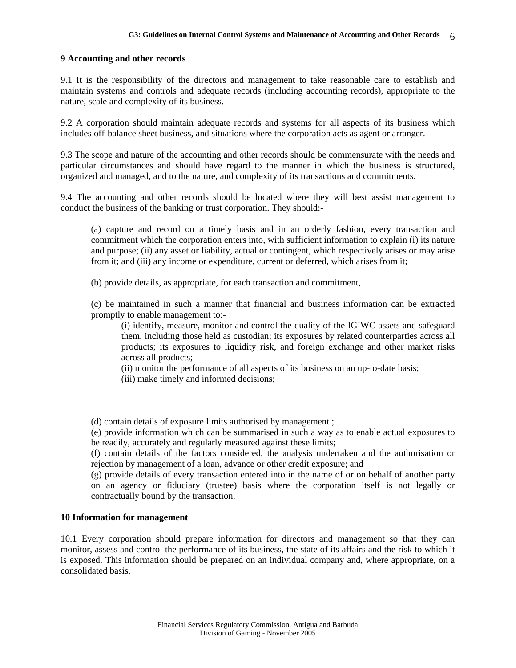#### **9 Accounting and other records**

9.1 It is the responsibility of the directors and management to take reasonable care to establish and maintain systems and controls and adequate records (including accounting records), appropriate to the nature, scale and complexity of its business.

9.2 A corporation should maintain adequate records and systems for all aspects of its business which includes off-balance sheet business, and situations where the corporation acts as agent or arranger.

9.3 The scope and nature of the accounting and other records should be commensurate with the needs and particular circumstances and should have regard to the manner in which the business is structured, organized and managed, and to the nature, and complexity of its transactions and commitments.

9.4 The accounting and other records should be located where they will best assist management to conduct the business of the banking or trust corporation. They should:-

(a) capture and record on a timely basis and in an orderly fashion, every transaction and commitment which the corporation enters into, with sufficient information to explain (i) its nature and purpose; (ii) any asset or liability, actual or contingent, which respectively arises or may arise from it; and (iii) any income or expenditure, current or deferred, which arises from it;

(b) provide details, as appropriate, for each transaction and commitment,

(c) be maintained in such a manner that financial and business information can be extracted promptly to enable management to:-

(i) identify, measure, monitor and control the quality of the IGIWC assets and safeguard them, including those held as custodian; its exposures by related counterparties across all products; its exposures to liquidity risk, and foreign exchange and other market risks across all products;

(ii) monitor the performance of all aspects of its business on an up-to-date basis;

(iii) make timely and informed decisions;

(d) contain details of exposure limits authorised by management ;

(e) provide information which can be summarised in such a way as to enable actual exposures to be readily, accurately and regularly measured against these limits;

(f) contain details of the factors considered, the analysis undertaken and the authorisation or rejection by management of a loan, advance or other credit exposure; and

(g) provide details of every transaction entered into in the name of or on behalf of another party on an agency or fiduciary (trustee) basis where the corporation itself is not legally or contractually bound by the transaction.

#### **10 Information for management**

10.1 Every corporation should prepare information for directors and management so that they can monitor, assess and control the performance of its business, the state of its affairs and the risk to which it is exposed. This information should be prepared on an individual company and, where appropriate, on a consolidated basis.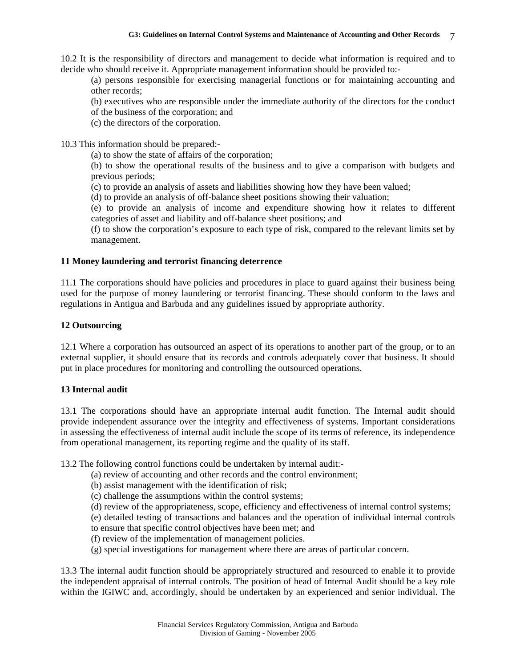10.2 It is the responsibility of directors and management to decide what information is required and to decide who should receive it. Appropriate management information should be provided to:-

(a) persons responsible for exercising managerial functions or for maintaining accounting and other records;

(b) executives who are responsible under the immediate authority of the directors for the conduct

of the business of the corporation; and

(c) the directors of the corporation.

10.3 This information should be prepared:-

(a) to show the state of affairs of the corporation;

(b) to show the operational results of the business and to give a comparison with budgets and previous periods;

(c) to provide an analysis of assets and liabilities showing how they have been valued;

(d) to provide an analysis of off-balance sheet positions showing their valuation;

(e) to provide an analysis of income and expenditure showing how it relates to different categories of asset and liability and off-balance sheet positions; and

(f) to show the corporation's exposure to each type of risk, compared to the relevant limits set by management.

## **11 Money laundering and terrorist financing deterrence**

11.1 The corporations should have policies and procedures in place to guard against their business being used for the purpose of money laundering or terrorist financing. These should conform to the laws and regulations in Antigua and Barbuda and any guidelines issued by appropriate authority.

# **12 Outsourcing**

12.1 Where a corporation has outsourced an aspect of its operations to another part of the group, or to an external supplier, it should ensure that its records and controls adequately cover that business. It should put in place procedures for monitoring and controlling the outsourced operations.

## **13 Internal audit**

13.1 The corporations should have an appropriate internal audit function. The Internal audit should provide independent assurance over the integrity and effectiveness of systems. Important considerations in assessing the effectiveness of internal audit include the scope of its terms of reference, its independence from operational management, its reporting regime and the quality of its staff.

13.2 The following control functions could be undertaken by internal audit:-

- (a) review of accounting and other records and the control environment;
- (b) assist management with the identification of risk;
- (c) challenge the assumptions within the control systems;
- (d) review of the appropriateness, scope, efficiency and effectiveness of internal control systems;

(e) detailed testing of transactions and balances and the operation of individual internal controls

- to ensure that specific control objectives have been met; and
- (f) review of the implementation of management policies.
- (g) special investigations for management where there are areas of particular concern.

13.3 The internal audit function should be appropriately structured and resourced to enable it to provide the independent appraisal of internal controls. The position of head of Internal Audit should be a key role within the IGIWC and, accordingly, should be undertaken by an experienced and senior individual. The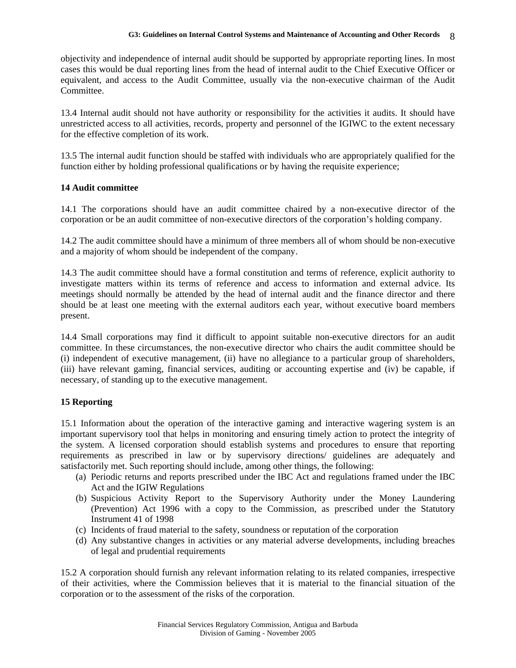objectivity and independence of internal audit should be supported by appropriate reporting lines. In most cases this would be dual reporting lines from the head of internal audit to the Chief Executive Officer or equivalent, and access to the Audit Committee, usually via the non-executive chairman of the Audit Committee.

13.4 Internal audit should not have authority or responsibility for the activities it audits. It should have unrestricted access to all activities, records, property and personnel of the IGIWC to the extent necessary for the effective completion of its work.

13.5 The internal audit function should be staffed with individuals who are appropriately qualified for the function either by holding professional qualifications or by having the requisite experience;

## **14 Audit committee**

14.1 The corporations should have an audit committee chaired by a non-executive director of the corporation or be an audit committee of non-executive directors of the corporation's holding company.

14.2 The audit committee should have a minimum of three members all of whom should be non-executive and a majority of whom should be independent of the company.

14.3 The audit committee should have a formal constitution and terms of reference, explicit authority to investigate matters within its terms of reference and access to information and external advice. Its meetings should normally be attended by the head of internal audit and the finance director and there should be at least one meeting with the external auditors each year, without executive board members present.

14.4 Small corporations may find it difficult to appoint suitable non-executive directors for an audit committee. In these circumstances, the non-executive director who chairs the audit committee should be (i) independent of executive management, (ii) have no allegiance to a particular group of shareholders, (iii) have relevant gaming, financial services, auditing or accounting expertise and (iv) be capable, if necessary, of standing up to the executive management.

## **15 Reporting**

15.1 Information about the operation of the interactive gaming and interactive wagering system is an important supervisory tool that helps in monitoring and ensuring timely action to protect the integrity of the system. A licensed corporation should establish systems and procedures to ensure that reporting requirements as prescribed in law or by supervisory directions/ guidelines are adequately and satisfactorily met. Such reporting should include, among other things, the following:

- (a) Periodic returns and reports prescribed under the IBC Act and regulations framed under the IBC Act and the IGIW Regulations
- (b) Suspicious Activity Report to the Supervisory Authority under the Money Laundering (Prevention) Act 1996 with a copy to the Commission, as prescribed under the Statutory Instrument 41 of 1998
- (c) Incidents of fraud material to the safety, soundness or reputation of the corporation
- (d) Any substantive changes in activities or any material adverse developments, including breaches of legal and prudential requirements

15.2 A corporation should furnish any relevant information relating to its related companies, irrespective of their activities, where the Commission believes that it is material to the financial situation of the corporation or to the assessment of the risks of the corporation.